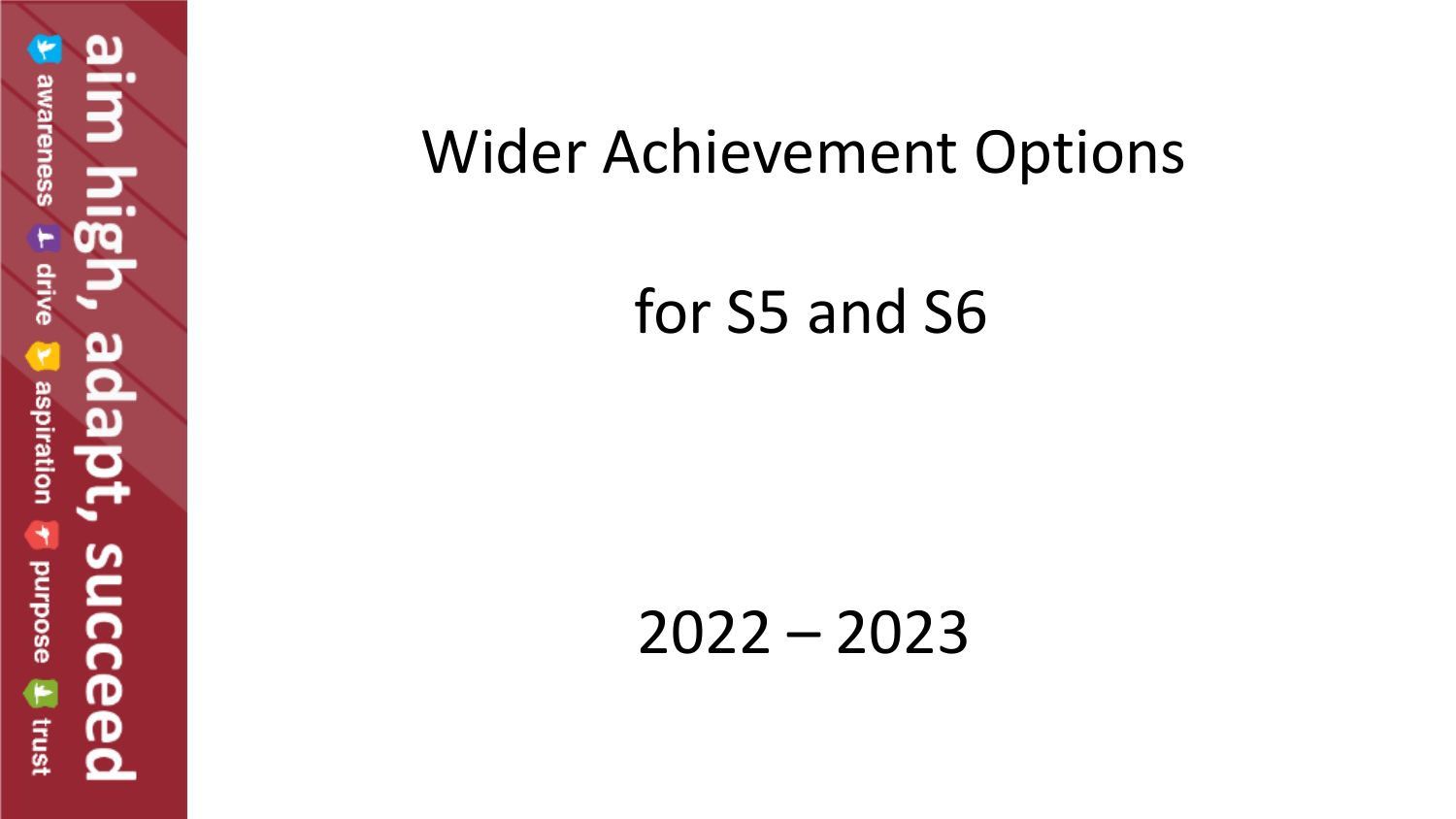## Wider Achievement Options

for S5 and S6

2022 – 2023

 $\overline{a}$ awareness drive aspiration succe **anrpose** Trust ര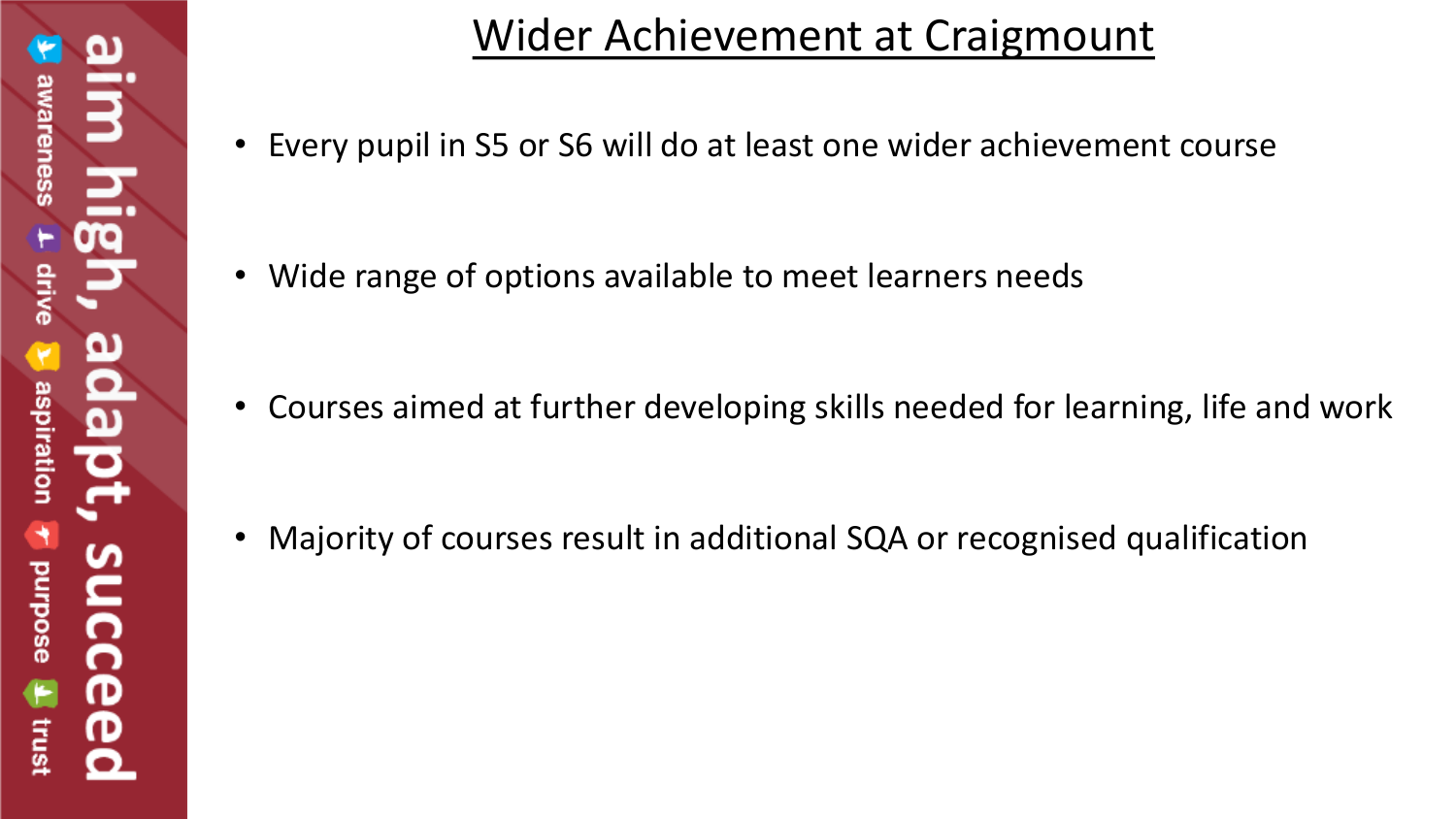## Wider Achievement at Craigmount

• Every pupil in S5 or S6 will do at least one wider achievement course

• Wide range of options available to meet learners needs

• Courses aimed at further developing skills needed for learning, life and work

• Majority of courses result in additional SQA or recognised qualification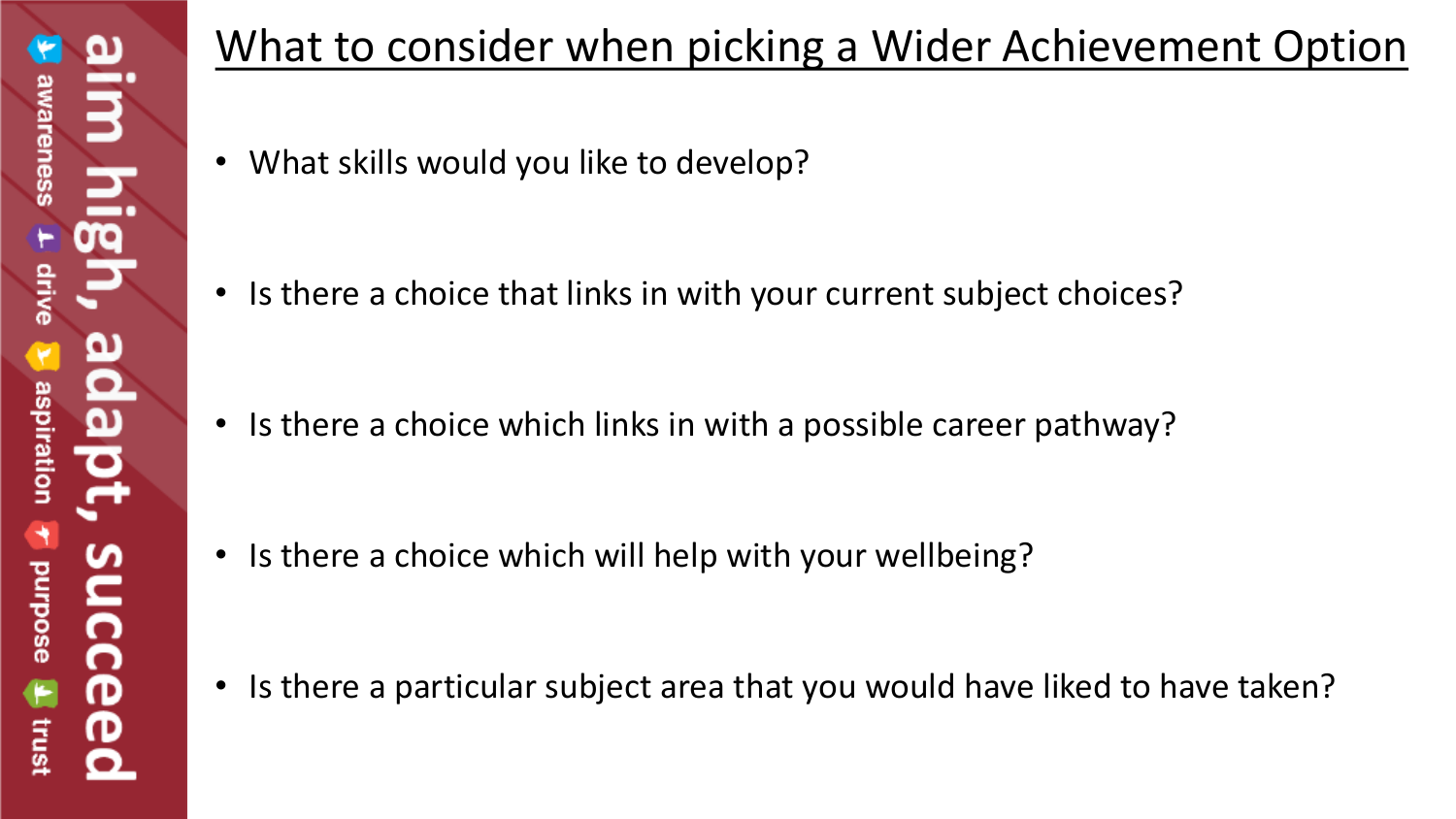## What to consider when picking a Wider Achievement Option

• What skills would you like to develop?

• Is there a choice that links in with your current subject choices?

• Is there a choice which links in with a possible career pathway?

• Is there a choice which will help with your wellbeing?

• Is there a particular subject area that you would have liked to have taken?